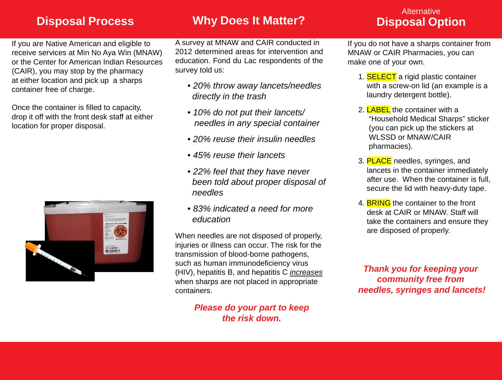# **Disposal Process Why Does It Matter? Disposal Option**

# **Alternative**

If you are Native American and eligible to receive services at Min No Aya Win (MNAW) or the Center for American Indian Resources (CAIR), you may stop by the pharmacy at either location and pick up a sharps container free of charge.

Once the container is filled to capacity, drop it off with the front desk staff at either location for proper disposal.



A survey at MNAW and CAIR conducted in 2012 determined areas for intervention and education. Fond du Lac respondents of the survey told us:

- *20% throw away lancets/needles directly in the trash*
- *10% do not put their lancets/ needles in any special container*
- *20% reuse their insulin needles*
- *45% reuse their lancets*
- *22% feel that they have never been told about proper disposal of needles*
- *83% indicated a need for more education*

When needles are not disposed of properly, injuries or illness can occur. The risk for the transmission of blood-borne pathogens, such as human immunodeficiency virus (HIV), hepatitis B, and hepatitis C *increases* when sharps are not placed in appropriate containers.

> *Please do your part to keep the risk down.*

If you do not have a sharps container from MNAW or CAIR Pharmacies, you can make one of your own.

- 1. **SELECT** a rigid plastic container with a screw-on lid (an example is a laundry detergent bottle).
- 2. LABEL the container with a "Household Medical Sharps" sticker (you can pick up the stickers at WLSSD or MNAW/CAIR pharmacies).
- 3. PLACE needles, syringes, and lancets in the container immediately after use. When the container is full, secure the lid with heavy-duty tape.
- 4. BRING the container to the front desk at CAIR or MNAW. Staff will take the containers and ensure they are disposed of properly.

*Thank you for keeping your community free from needles, syringes and lancets!*